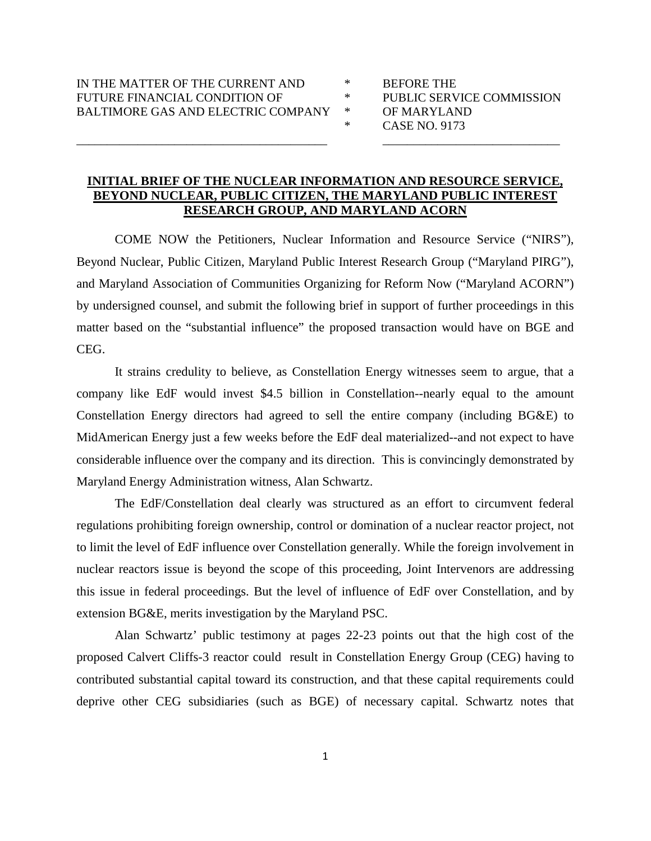- 
- 
- 
- \* CASE NO. 9173

## **INITIAL BRIEF OF THE NUCLEAR INFORMATION AND RESOURCE SERVICE, BEYOND NUCLEAR, PUBLIC CITIZEN, THE MARYLAND PUBLIC INTEREST RESEARCH GROUP, AND MARYLAND ACORN**

\_\_\_\_\_\_\_\_\_\_\_\_\_\_\_\_\_\_\_\_\_\_\_\_\_\_\_\_\_\_\_\_\_\_\_\_\_\_\_\_\_ \_\_\_\_\_\_\_\_\_\_\_\_\_\_\_\_\_\_\_\_\_\_\_\_\_\_\_\_\_

COME NOW the Petitioners, Nuclear Information and Resource Service ("NIRS"), Beyond Nuclear, Public Citizen, Maryland Public Interest Research Group ("Maryland PIRG"), and Maryland Association of Communities Organizing for Reform Now ("Maryland ACORN") by undersigned counsel, and submit the following brief in support of further proceedings in this matter based on the "substantial influence" the proposed transaction would have on BGE and CEG.

It strains credulity to believe, as Constellation Energy witnesses seem to argue, that a company like EdF would invest \$4.5 billion in Constellation--nearly equal to the amount Constellation Energy directors had agreed to sell the entire company (including BG&E) to MidAmerican Energy just a few weeks before the EdF deal materialized--and not expect to have considerable influence over the company and its direction. This is convincingly demonstrated by Maryland Energy Administration witness, Alan Schwartz.

The EdF/Constellation deal clearly was structured as an effort to circumvent federal regulations prohibiting foreign ownership, control or domination of a nuclear reactor project, not to limit the level of EdF influence over Constellation generally. While the foreign involvement in nuclear reactors issue is beyond the scope of this proceeding, Joint Intervenors are addressing this issue in federal proceedings. But the level of influence of EdF over Constellation, and by extension BG&E, merits investigation by the Maryland PSC.

Alan Schwartz' public testimony at pages 22-23 points out that the high cost of the proposed Calvert Cliffs-3 reactor could result in Constellation Energy Group (CEG) having to contributed substantial capital toward its construction, and that these capital requirements could deprive other CEG subsidiaries (such as BGE) of necessary capital. Schwartz notes that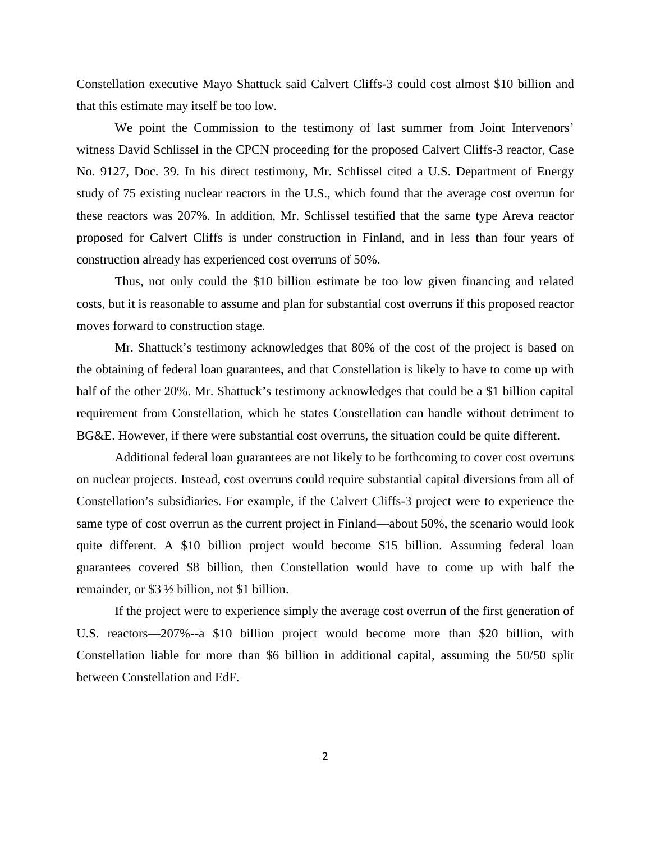Constellation executive Mayo Shattuck said Calvert Cliffs-3 could cost almost \$10 billion and that this estimate may itself be too low.

We point the Commission to the testimony of last summer from Joint Intervenors' witness David Schlissel in the CPCN proceeding for the proposed Calvert Cliffs-3 reactor, Case No. 9127, Doc. 39. In his direct testimony, Mr. Schlissel cited a U.S. Department of Energy study of 75 existing nuclear reactors in the U.S., which found that the average cost overrun for these reactors was 207%. In addition, Mr. Schlissel testified that the same type Areva reactor proposed for Calvert Cliffs is under construction in Finland, and in less than four years of construction already has experienced cost overruns of 50%.

Thus, not only could the \$10 billion estimate be too low given financing and related costs, but it is reasonable to assume and plan for substantial cost overruns if this proposed reactor moves forward to construction stage.

Mr. Shattuck's testimony acknowledges that 80% of the cost of the project is based on the obtaining of federal loan guarantees, and that Constellation is likely to have to come up with half of the other 20%. Mr. Shattuck's testimony acknowledges that could be a \$1 billion capital requirement from Constellation, which he states Constellation can handle without detriment to BG&E. However, if there were substantial cost overruns, the situation could be quite different.

Additional federal loan guarantees are not likely to be forthcoming to cover cost overruns on nuclear projects. Instead, cost overruns could require substantial capital diversions from all of Constellation's subsidiaries. For example, if the Calvert Cliffs-3 project were to experience the same type of cost overrun as the current project in Finland—about 50%, the scenario would look quite different. A \$10 billion project would become \$15 billion. Assuming federal loan guarantees covered \$8 billion, then Constellation would have to come up with half the remainder, or \$3 ½ billion, not \$1 billion.

If the project were to experience simply the average cost overrun of the first generation of U.S. reactors—207%--a \$10 billion project would become more than \$20 billion, with Constellation liable for more than \$6 billion in additional capital, assuming the 50/50 split between Constellation and EdF.

2